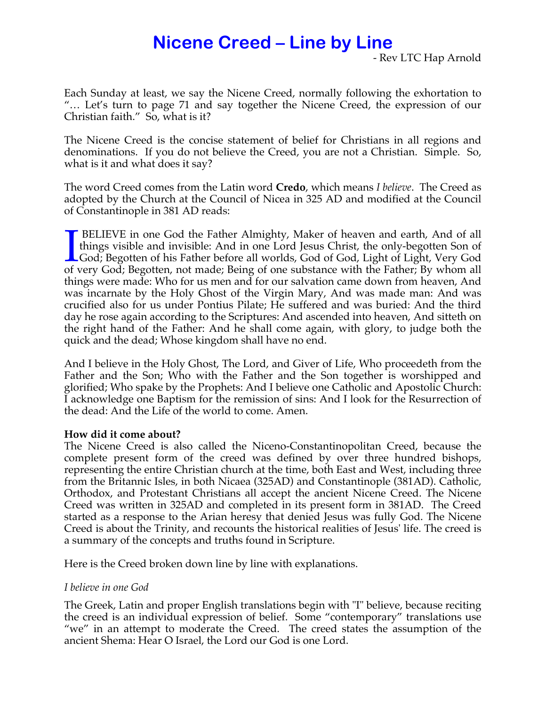# **Nicene Creed – Line by Line**

- Rev LTC Hap Arnold

Each Sunday at least, we say the Nicene Creed, normally following the exhortation to "… Let's turn to page 71 and say together the Nicene Creed, the expression of our Christian faith." So, what is it?

The Nicene Creed is the concise statement of belief for Christians in all regions and denominations. If you do not believe the Creed, you are not a Christian. Simple. So, what is it and what does it say?

The word Creed comes from the Latin word **Credo**, which means *I believe*. The Creed as adopted by the Church at the Council of Nicea in 325 AD and modified at the Council of Constantinople in 381 AD reads:

**BELIEVE** in one God the Father Almighty, Maker of heaven and earth, And of all things visible and invisible: And in one Lord Jesus Christ, the only-begotten Son of God; Begotten of his Father before all worlds, God of God, Light of Light, Very God of very God; Begotten, not made; Being of one substance with the Father; By whom all things were made: Who for us men and for our salvation came down from heaven, And was incarnate by the Holy Ghost of the Virgin Mary, And was made man: And was crucified also for us under Pontius Pilate; He suffered and was buried: And the third day he rose again according to the Scriptures: And ascended into heaven, And sitteth on the right hand of the Father: And he shall come again, with glory, to judge both the quick and the dead; Whose kingdom shall have no end.  $\prod_{\text{of }y}$ 

And I believe in the Holy Ghost, The Lord, and Giver of Life, Who proceedeth from the Father and the Son; Who with the Father and the Son together is worshipped and glorified; Who spake by the Prophets: And I believe one Catholic and Apostolic Church: I acknowledge one Baptism for the remission of sins: And I look for the Resurrection of the dead: And the Life of the world to come. Amen.

#### **How did it come about?**

The Nicene Creed is also called the Niceno-Constantinopolitan Creed, because the complete present form of the creed was defined by over three hundred bishops, representing the entire Christian church at the time, both East and West, including three from the Britannic Isles, in both Nicaea (325AD) and Constantinople (381AD). Catholic, Orthodox, and Protestant Christians all accept the ancient Nicene Creed. The Nicene Creed was written in 325AD and completed in its present form in 381AD. The Creed started as a response to the Arian heresy that denied Jesus was fully God. The Nicene Creed is about the Trinity, and recounts the historical realities of Jesus' life. The creed is a summary of the concepts and truths found in Scripture.

Here is the Creed broken down line by line with explanations.

#### *I believe in one God*

The Greek, Latin and proper English translations begin with "I" believe, because reciting the creed is an individual expression of belief. Some "contemporary" translations use "we" in an attempt to moderate the Creed. The creed states the assumption of the ancient Shema: Hear O Israel, the Lord our God is one Lord.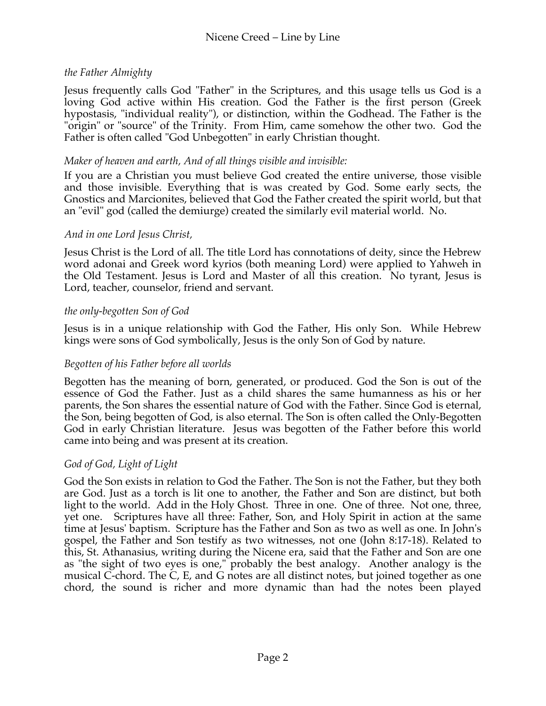## *the Father Almighty*

Jesus frequently calls God "Father" in the Scriptures, and this usage tells us God is a loving God active within His creation. God the Father is the first person (Greek hypostasis, "individual reality"), or distinction, within the Godhead. The Father is the "origin" or "source" of the Trinity. From Him, came somehow the other two. God the Father is often called "God Unbegotten" in early Christian thought.

#### *Maker of heaven and earth, And of all things visible and invisible:*

If you are a Christian you must believe God created the entire universe, those visible and those invisible. Everything that is was created by God. Some early sects, the Gnostics and Marcionites, believed that God the Father created the spirit world, but that an "evil" god (called the demiurge) created the similarly evil material world. No.

#### *And in one Lord Jesus Christ,*

Jesus Christ is the Lord of all. The title Lord has connotations of deity, since the Hebrew word adonai and Greek word kyrios (both meaning Lord) were applied to Yahweh in the Old Testament. Jesus is Lord and Master of all this creation. No tyrant, Jesus is Lord, teacher, counselor, friend and servant.

#### *the only-begotten Son of God*

Jesus is in a unique relationship with God the Father, His only Son. While Hebrew kings were sons of God symbolically, Jesus is the only Son of God by nature.

#### *Begotten of his Father before all worlds*

Begotten has the meaning of born, generated, or produced. God the Son is out of the essence of God the Father. Just as a child shares the same humanness as his or her parents, the Son shares the essential nature of God with the Father. Since God is eternal, the Son, being begotten of God, is also eternal. The Son is often called the Only-Begotten God in early Christian literature. Jesus was begotten of the Father before this world came into being and was present at its creation.

#### *God of God, Light of Light*

God the Son exists in relation to God the Father. The Son is not the Father, but they both are God. Just as a torch is lit one to another, the Father and Son are distinct, but both light to the world. Add in the Holy Ghost. Three in one. One of three. Not one, three, yet one. Scriptures have all three: Father, Son, and Holy Spirit in action at the same time at Jesus' baptism. Scripture has the Father and Son as two as well as one. In John's gospel, the Father and Son testify as two witnesses, not one (John 8:17-18). Related to this, St. Athanasius, writing during the Nicene era, said that the Father and Son are one as "the sight of two eyes is one," probably the best analogy. Another analogy is the musical C-chord. The C, E, and G notes are all distinct notes, but joined together as one chord, the sound is richer and more dynamic than had the notes been played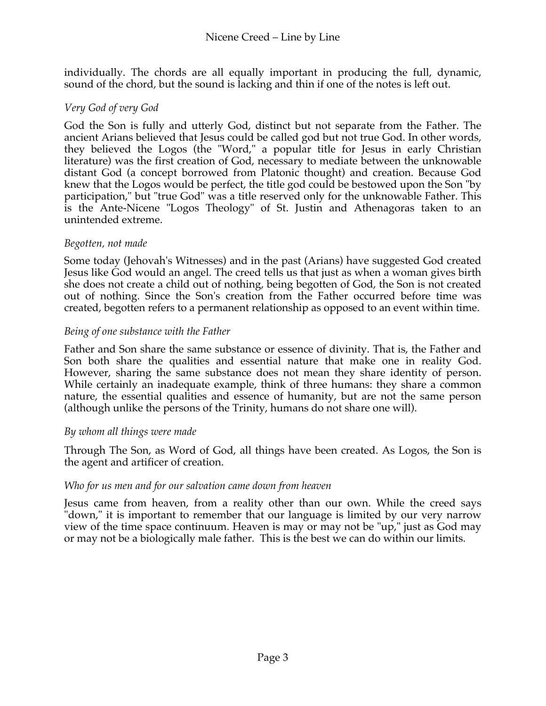individually. The chords are all equally important in producing the full, dynamic, sound of the chord, but the sound is lacking and thin if one of the notes is left out.

## *Very God of very God*

God the Son is fully and utterly God, distinct but not separate from the Father. The ancient Arians believed that Jesus could be called god but not true God. In other words, they believed the Logos (the "Word," a popular title for Jesus in early Christian literature) was the first creation of God, necessary to mediate between the unknowable distant God (a concept borrowed from Platonic thought) and creation. Because God knew that the Logos would be perfect, the title god could be bestowed upon the Son "by participation," but "true God" was a title reserved only for the unknowable Father. This is the Ante-Nicene "Logos Theology" of St. Justin and Athenagoras taken to an unintended extreme.

## *Begotten, not made*

Some today (Jehovah's Witnesses) and in the past (Arians) have suggested God created Jesus like God would an angel. The creed tells us that just as when a woman gives birth she does not create a child out of nothing, being begotten of God, the Son is not created out of nothing. Since the Son's creation from the Father occurred before time was created, begotten refers to a permanent relationship as opposed to an event within time.

## *Being of one substance with the Father*

Father and Son share the same substance or essence of divinity. That is, the Father and Son both share the qualities and essential nature that make one in reality God. However, sharing the same substance does not mean they share identity of person. While certainly an inadequate example, think of three humans: they share a common nature, the essential qualities and essence of humanity, but are not the same person (although unlike the persons of the Trinity, humans do not share one will).

#### *By whom all things were made*

Through The Son, as Word of God, all things have been created. As Logos, the Son is the agent and artificer of creation.

#### *Who for us men and for our salvation came down from heaven*

Jesus came from heaven, from a reality other than our own. While the creed says "down," it is important to remember that our language is limited by our very narrow view of the time space continuum. Heaven is may or may not be "up," just as God may or may not be a biologically male father. This is the best we can do within our limits.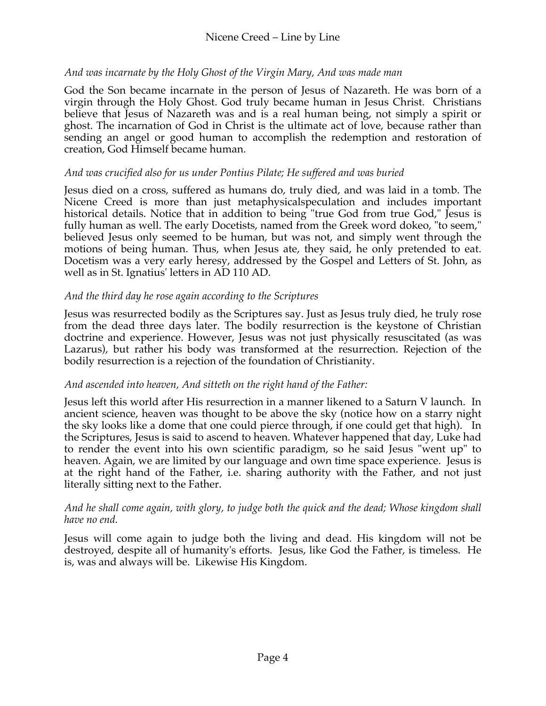## Nicene Creed – Line by Line

#### *And was incarnate by the Holy Ghost of the Virgin Mary, And was made man*

God the Son became incarnate in the person of Jesus of Nazareth. He was born of a virgin through the Holy Ghost. God truly became human in Jesus Christ. Christians believe that Jesus of Nazareth was and is a real human being, not simply a spirit or ghost. The incarnation of God in Christ is the ultimate act of love, because rather than sending an angel or good human to accomplish the redemption and restoration of creation, God Himself became human.

#### *And was crucified also for us under Pontius Pilate; He suffered and was buried*

Jesus died on a cross, suffered as humans do, truly died, and was laid in a tomb. The Nicene Creed is more than just metaphysicalspeculation and includes important historical details. Notice that in addition to being "true God from true God," Jesus is fully human as well. The early Docetists, named from the Greek word dokeo, "to seem," believed Jesus only seemed to be human, but was not, and simply went through the motions of being human. Thus, when Jesus ate, they said, he only pretended to eat. Docetism was a very early heresy, addressed by the Gospel and Letters of St. John, as well as in St. Ignatius' letters in AD 110 AD.

## *And the third day he rose again according to the Scriptures*

Jesus was resurrected bodily as the Scriptures say. Just as Jesus truly died, he truly rose from the dead three days later. The bodily resurrection is the keystone of Christian doctrine and experience. However, Jesus was not just physically resuscitated (as was Lazarus), but rather his body was transformed at the resurrection. Rejection of the bodily resurrection is a rejection of the foundation of Christianity.

#### *And ascended into heaven, And sitteth on the right hand of the Father:*

Jesus left this world after His resurrection in a manner likened to a Saturn V launch. In ancient science, heaven was thought to be above the sky (notice how on a starry night the sky looks like a dome that one could pierce through, if one could get that high). In the Scriptures, Jesus is said to ascend to heaven. Whatever happened that day, Luke had to render the event into his own scientific paradigm, so he said Jesus "went up" to heaven. Again, we are limited by our language and own time space experience. Jesus is at the right hand of the Father, i.e. sharing authority with the Father, and not just literally sitting next to the Father.

#### *And he shall come again, with glory, to judge both the quick and the dead; Whose kingdom shall have no end.*

Jesus will come again to judge both the living and dead. His kingdom will not be destroyed, despite all of humanity's efforts. Jesus, like God the Father, is timeless. He is, was and always will be. Likewise His Kingdom.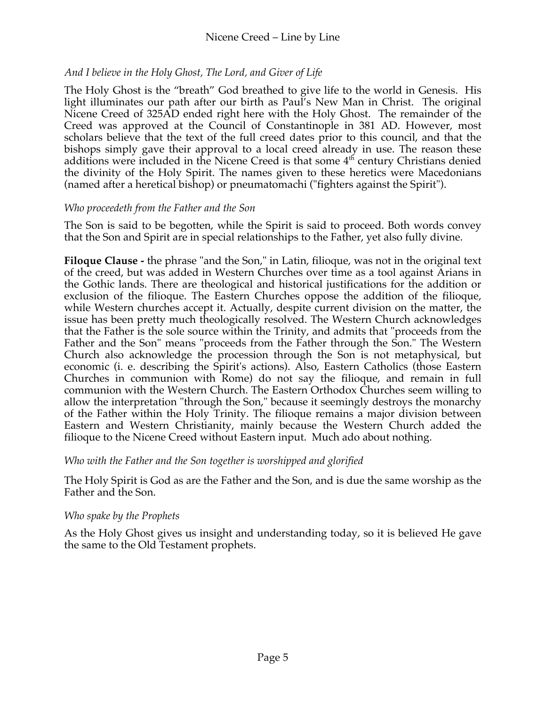## Nicene Creed – Line by Line

## *And I believe in the Holy Ghost, The Lord, and Giver of Life*

The Holy Ghost is the "breath" God breathed to give life to the world in Genesis. His light illuminates our path after our birth as Paul's New Man in Christ. The original Nicene Creed of 325AD ended right here with the Holy Ghost. The remainder of the Creed was approved at the Council of Constantinople in 381 AD. However, most scholars believe that the text of the full creed dates prior to this council, and that the bishops simply gave their approval to a local creed already in use. The reason these additions were included in the Nicene Creed is that some  $4<sup>th</sup>$  century Christians denied the divinity of the Holy Spirit. The names given to these heretics were Macedonians (named after a heretical bishop) or pneumatomachi ("fighters against the Spirit").

## *Who proceedeth from the Father and the Son*

The Son is said to be begotten, while the Spirit is said to proceed. Both words convey that the Son and Spirit are in special relationships to the Father, yet also fully divine.

**Filoque Clause -** the phrase "and the Son," in Latin, filioque, was not in the original text of the creed, but was added in Western Churches over time as a tool against Arians in the Gothic lands. There are theological and historical justifications for the addition or exclusion of the filioque. The Eastern Churches oppose the addition of the filioque, while Western churches accept it. Actually, despite current division on the matter, the issue has been pretty much theologically resolved. The Western Church acknowledges that the Father is the sole source within the Trinity, and admits that "proceeds from the Father and the Son" means "proceeds from the Father through the Son." The Western Church also acknowledge the procession through the Son is not metaphysical, but economic (i. e. describing the Spirit's actions). Also, Eastern Catholics (those Eastern Churches in communion with Rome) do not say the filioque, and remain in full communion with the Western Church. The Eastern Orthodox Churches seem willing to allow the interpretation "through the Son," because it seemingly destroys the monarchy of the Father within the Holy Trinity. The filioque remains a major division between Eastern and Western Christianity, mainly because the Western Church added the filioque to the Nicene Creed without Eastern input. Much ado about nothing.

## *Who with the Father and the Son together is worshipped and glorified*

The Holy Spirit is God as are the Father and the Son, and is due the same worship as the Father and the Son.

#### *Who spake by the Prophets*

As the Holy Ghost gives us insight and understanding today, so it is believed He gave the same to the Old Testament prophets.